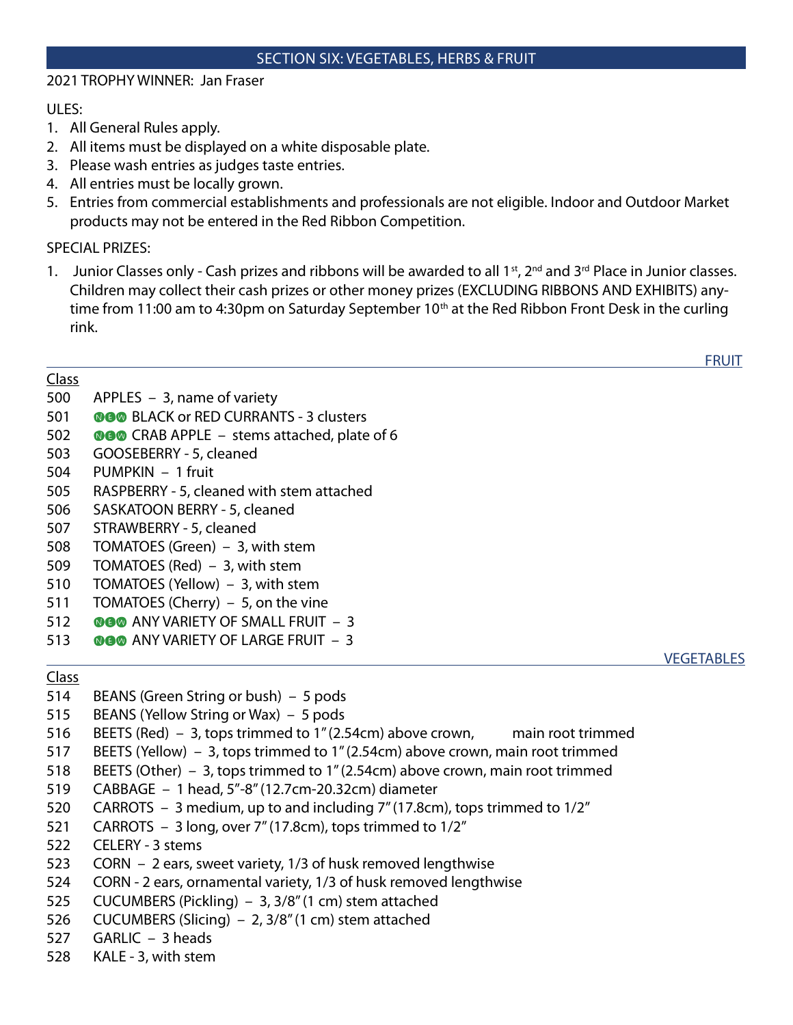#### SECTION SIX: VEGETABLES, HERBS & FRUIT

### 2021 TROPHY WINNER: Jan Fraser

### ULES:

- 1. All General Rules apply.
- 2. All items must be displayed on a white disposable plate.
- 3. Please wash entries as judges taste entries.
- 4. All entries must be locally grown.
- 5. Entries from commercial establishments and professionals are not eligible. Indoor and Outdoor Market products may not be entered in the Red Ribbon Competition.

## SPECIAL PRIZES:

1. Junior Classes only - Cash prizes and ribbons will be awarded to all  $1<sup>st</sup>$ ,  $2<sup>nd</sup>$  and  $3<sup>rd</sup>$  Place in Junior classes. Children may collect their cash prizes or other money prizes (EXCLUDING RIBBONS AND EXHIBITS) anytime from 11:00 am to 4:30pm on Saturday September 10<sup>th</sup> at the Red Ribbon Front Desk in the curling rink.

<u>FRUIT EXAMPLE THE STATE OF THE STATE OF THE STATE OF THE STATE OF THE STATE OF THE STATE OF THE STATE OF THE ST</u>

## Class

- 500 APPLES 3, name of variety
- 501 **BLACK or RED CURRANTS 3 clusters**
- 502 **GO** CRAB APPLE stems attached, plate of 6
- 503 GOOSEBERRY 5, cleaned
- 504 PUMPKIN 1 fruit
- 505 RASPBERRY 5, cleaned with stem attached
- 506 SASKATOON BERRY 5, cleaned
- 507 STRAWBERRY 5, cleaned
- 508 TOMATOES (Green) 3, with stem
- 509 TOMATOES (Red) 3, with stem
- 510 TOMATOES (Yellow) 3, with stem
- 511 TOMATOES (Cherry) 5, on the vine
- 512 **@@@** ANY VARIETY OF SMALL FRUIT 3
- 513 **@@@** ANY VARIETY OF LARGE FRUIT 3

## <u>results and the second control of the second control of the second control of the second control of the second control of the second control of the second control of the second control of the second control of the second </u>

# Class

- 514 BEANS (Green String or bush) 5 pods
- 515 BEANS (Yellow String or Wax) 5 pods
- 516 BEETS (Red) 3, tops trimmed to 1" (2.54cm) above crown, main root trimmed
- 517 BEETS (Yellow) 3, tops trimmed to 1" (2.54cm) above crown, main root trimmed
- 518 BEETS (Other) 3, tops trimmed to 1" (2.54cm) above crown, main root trimmed
- 519 CABBAGE 1 head, 5"-8" (12.7cm-20.32cm) diameter
- 520 CARROTS 3 medium, up to and including 7" (17.8cm), tops trimmed to 1/2"
- 521 CARROTS 3 long, over 7" (17.8cm), tops trimmed to 1/2"
- 522 CELERY 3 stems
- 523 CORN 2 ears, sweet variety, 1/3 of husk removed lengthwise
- 524 CORN 2 ears, ornamental variety, 1/3 of husk removed lengthwise
- 525 CUCUMBERS (Pickling) 3, 3/8" (1 cm) stem attached
- 526 CUCUMBERS (Slicing) 2, 3/8" (1 cm) stem attached
- 527 GARLIC 3 heads
- 528 KALE 3, with stem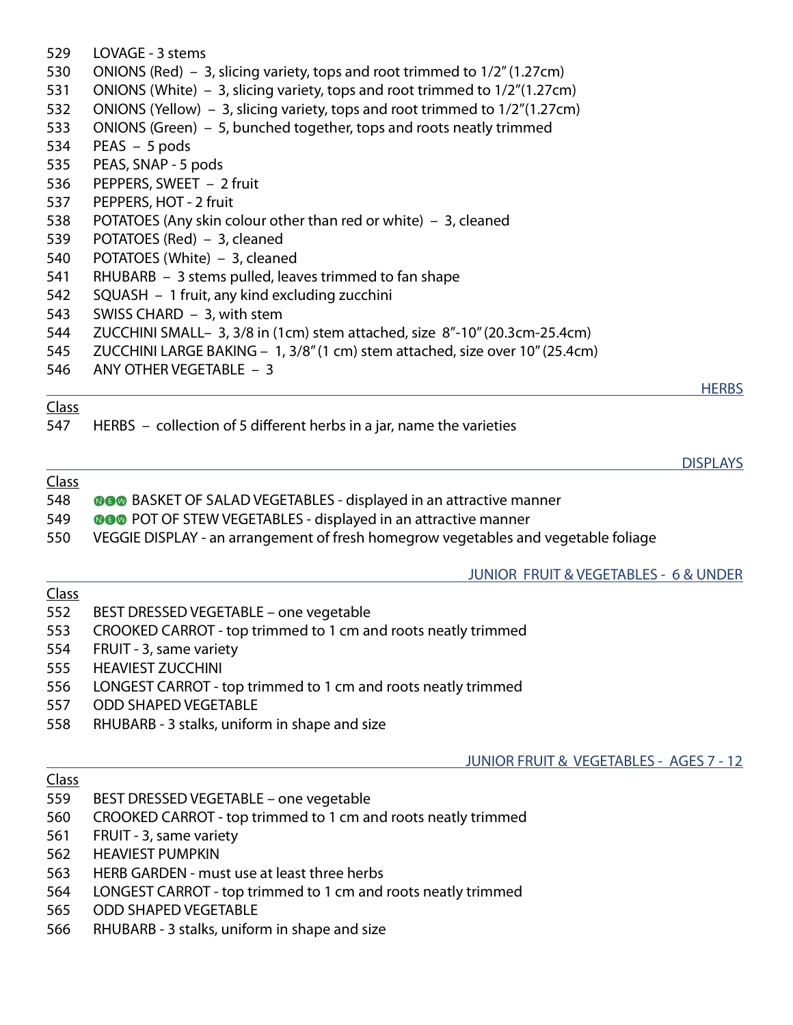- 529 LOVAGE 3 stems 530 ONIONS (Red) – 3, slicing variety, tops and root trimmed to 1/2" (1.27cm) 531 ONIONS (White) – 3, slicing variety, tops and root trimmed to 1/2"(1.27cm) 532 ONIONS (Yellow) – 3, slicing variety, tops and root trimmed to 1/2"(1.27cm) 533 ONIONS (Green) – 5, bunched together, tops and roots neatly trimmed 534 PEAS – 5 pods 535 PEAS, SNAP - 5 pods 536 PEPPERS, SWEET – 2 fruit 537 PEPPERS, HOT - 2 fruit 538 POTATOES (Any skin colour other than red or white) – 3, cleaned 539 POTATOES (Red) – 3, cleaned 540 POTATOES (White) – 3, cleaned 541 RHUBARB – 3 stems pulled, leaves trimmed to fan shape 542 SQUASH – 1 fruit, any kind excluding zucchini 543 SWISS CHARD – 3, with stem 544 ZUCCHINI SMALL– 3, 3/8 in (1cm) stem attached, size 8"-10" (20.3cm-25.4cm) 545 ZUCCHINI LARGE BAKING – 1, 3/8" (1 cm) stem attached, size over 10" (25.4cm) 546 ANY OTHER VEGETABLE – 3 <u>HERBS</u> Class 547 HERBS – collection of 5 different herbs in a jar, name the varieties <u>DISPLAYS</u> Class 548 **BASKET OF SALAD VEGETABLES - displayed in an attractive manner**
- 549 **OGG** POT OF STEW VEGETABLES displayed in an attractive manner
- 550 VEGGIE DISPLAY an arrangement of fresh homegrow vegetables and vegetable foliage

JUNIOR FRUIT & VEGETABLES - 6 & UNDER

## Class

- 552 BEST DRESSED VEGETABLE one vegetable
- 553 CROOKED CARROT top trimmed to 1 cm and roots neatly trimmed
- 554 FRUIT 3, same variety
- 555 HEAVIEST ZUCCHINI
- 556 LONGEST CARROT top trimmed to 1 cm and roots neatly trimmed
- 557 ODD SHAPED VEGETABLE
- 558 RHUBARB 3 stalks, uniform in shape and size

# JUNIOR FRUIT & VEGETABLES - AGES 7 - 12

## Class

- 559 BEST DRESSED VEGETABLE one vegetable
- 560 CROOKED CARROT top trimmed to 1 cm and roots neatly trimmed
- 561 FRUIT 3, same variety
- 562 HEAVIEST PUMPKIN
- 563 HERB GARDEN must use at least three herbs
- 564 LONGEST CARROT top trimmed to 1 cm and roots neatly trimmed
- 565 ODD SHAPED VEGETABLE
- 566 RHUBARB 3 stalks, uniform in shape and size